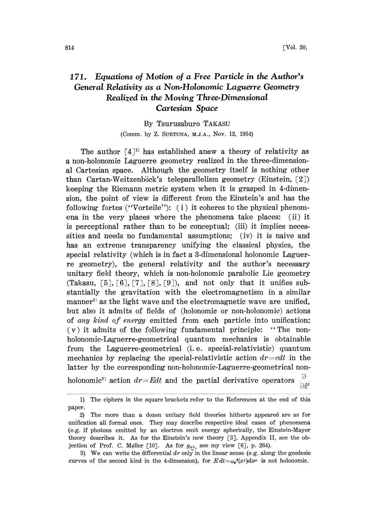## 171. Equations of Motion of a Free Particle in the Author's General Relativity as a Non.Holonomic Laguerre Geometry Realized in the Moving Three.Dimensional Cartesian Space

By Tsurusaburo TAKASU

(Comm. by Z. SUETUNA, M.J.A., NOV. 12, 1954)

The author  $[4]^{1}$  has established anew a theory of relativity as a non-holonomic Laguerre geometry realized in the three-dimensional Cartesian space. Although the geometry itself is nothing other than Cartan-Weitzenböck's teleparallelism geometry (Einstein,  $[2]$ ) keeping the Riemann metric system when it is grasped in 4-dimension, the point of view is different from the Einstein's and has the following fortes ("Vorteile"):  $(i)$  it coheres to the physical phenomena in the very places where the phenomena take places: (ii) it is perceptional rather than to be conceptual; (iii) it implies necessities and needs no fundamental assumptions; (iv) it is naive and has an extreme transparency unifying the classical physics, the special relativity (which is in fact a 3-dimensional holonomic Laguerre geometry), the general relativity and the author's necessary unitary field theory, which is non-holonomic parabolic Lie geometry (Takasu,  $\lceil 5 \rceil$ ,  $\lceil 6 \rceil$ ,  $\lceil 7 \rceil$ ,  $\lceil 8 \rceil$ ,  $\lceil 9 \rceil$ ), and not only that it unifies substantially the gravitation with the electromagnetism in a similar manner<sup>2</sup> as the light wave and the electromagnetic wave are unified, but also it admits of fields of (holonomic or non-holonomic) actions of any kind of energy emitted from each particle into unification;  $(v)$  it admits of the following fundamental principle: "The nonholonomic-Laguerre-geometrical quantum mechanics is obtainable from the Laguerre-geometrical (i. e. special-relativistic) quantum mechanics by replacing the special-relativistic action  $dr = cdt$  in the latter by the corresponding non-holonomic-Laguerre-geometrical non-

holonomic<sup>3</sup> action  $dr = Edt$  and the partial derivative operators  $\partial \xi^{l}$ 

paper. 1) The ciphers in the square brackets refer to the References at the end of this

r.<br>2) The more than a dozen unitary field theories hitherto appeared are as for unification all formal ones. They may describe respective ideal cases of phenomena (e.g. if photons emitted by an electron emit energy spherically, the Einstein-Mayer theory describes it. As for the Einstein's new theory [3], Appendix II, see the objection of Prof. C. Møller [10]. As for  $g_{\mu\nu}$ , see my view [6], p. 264).

<sup>3)</sup> We can write the differential  $dr$  only in the linear sense (e.g. along the geodesic curves of the second kind in the 4-dimension), for  $E dt = \omega_u^4(x) dx^{\mu}$  is not holonomic.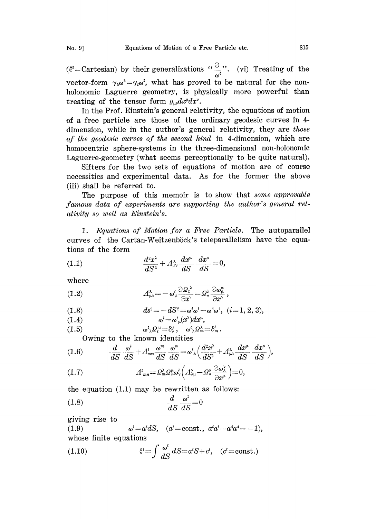$(\xi^i)$  = Cartesian) by their generalizations " $\frac{\partial}{\partial t}$ ". (vi) Treating of the vector-form  $\gamma_5 \omega^5 = \gamma_i \omega^i$ , what has proved to be natural for the nonholonomic Laguerre geometry, is physically more powerful than treating of the tensor form  $g_{\mu\nu}dx^{\mu}dx^{\nu}$ .

In the Prof. Einstein's general relativity, the equations of motion of a free particle are those of the ordinary geodesic curves in 4 dimension, while in the author's general relativity, they are those of the geodesic curves of the second kind in 4-dimension, which are homocentric sphere-systems in the three-dimensional non-holonomic Laguerre-geometry (what seems perceptionally to be quite natural).

Sifters for the two sets of equations of motion are of course necessities and experimental data. As for the former the above (iii) shall be referred to.

The purpose of this memoir is to show that some approvable famous data of experiments are supporting the author's general relativity so well as Einstein's.

1. Equations of Motion for a Free Particle. The autoparallel curves of the Cartan-Weitzenbick's teleparallelism have the equations of the form

(1.1) 
$$
\frac{d^2x^{\lambda}}{dS^2} + A^{\lambda}_{\mu\nu}\frac{dx^{\mu}}{dS} \frac{dx^{\nu}}{dS} = 0,
$$

where

(1.2) 
$$
A^{\lambda}_{\mu\nu} = -\omega^l_{\mu} \frac{\partial \Omega^{\lambda}_l}{\partial x^{\nu}} = \Omega^{\lambda}_n \frac{\partial \omega^{\mathfrak{n}}_{\mu}}{\partial x^{\nu}},
$$

(1.3) 
$$
ds^{2} = -dS^{2} = \omega^{i}\omega^{i} - \omega^{4}\omega^{4}, \quad (i = 1, 2, 3),
$$

 $(1.4)$  $\omega^l = \omega^l_{\mu} (x^{\lambda}) dx^{\mu},$ 

$$
(1.5) \qquad \qquad \omega^i_{\lambda} \Omega_i^{\mu} = \delta_{\lambda}^{\mu}, \quad \omega^i_{\lambda} \Omega_m^{\lambda} = \delta_m^{\mu}.
$$

Owing to the known identities

(1.6) 
$$
\frac{d}{dS}\frac{\omega^{l}}{dS} + A_{mn}^{l}\frac{\omega^{m}}{dS}\frac{\omega^{n}}{dS} = \omega^{l}{}_{\lambda}\Big(\frac{d^{2}x^{\lambda}}{dS^{2}} + A_{\mu\nu}^{\lambda}\frac{dx^{\mu}}{dS}\frac{dx^{\nu}}{dS}\Big),
$$
  
(1.7) 
$$
A_{mn}^{l} = \Omega_{m}^{\lambda}\Omega_{n}^{\mu}\omega_{\nu}^{l}\Big(A_{\lambda\mu}^{\nu} - \Omega_{n}^{\nu}\frac{\partial\omega_{\lambda}^{l}}{\partial\alpha^{\mu}}\Big) = 0,
$$

(1.7) 
$$
A^{i}_{mn} = \Omega_m^{\lambda} \Omega_m^{\mu} \omega_{\nu}^{i} \left( A^{\nu}_{\lambda \mu} - \Omega_n^{\nu} \frac{\partial \omega_{\lambda}^{\nu}}{\partial x^{\mu}} \right) = 0,
$$

the equation  $(1.1)$  may be rewritten as follows:

$$
\frac{d}{dS} \frac{\omega^i}{dS} = 0
$$

giving rise to

(1.9)  $\omega^i = a^i dS$ ,  $(a^i = \text{const.}, a^i a^i - a^i a^i = -1)$ , whose finite equations

(1.10) 
$$
\xi^{i} = \int \frac{\omega^{i}}{dS} dS = a^{i}S + c^{i}, \quad (c^{i} = \text{const.})
$$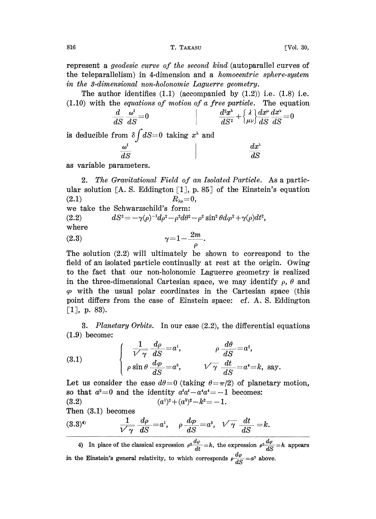represent a *geodesic curve of the second kind* (autoparallel curves of the teleparallelism) in 4-dimension and a homocentric sphere-system in the 3-dimensional non-holonomic Laguerre geometry.

The author identifies  $(1.1)$  (accompanied by  $(1.2)$ ) i.e.  $(1.8)$  i.e.  $(1.10)$  with the *equations of motion of a free particle*. The equation

$$
\frac{d}{dS}\frac{\omega^i}{dS} = 0
$$
\n
$$
\frac{d^2x^{\lambda}}{dS^2} + \left\{\lambda \frac{\lambda}{\mu\nu}\right\} \frac{dx^{\mu}}{dS} \frac{dx^{\nu}}{dS} = 0
$$

is deducible from  $\delta \int dS=0$  taking  $x^{\lambda}$  and

| $\tilde{\phantom{a}}$<br>$\boldsymbol{\omega}^l$ | $dx^{\lambda}$  |
|--------------------------------------------------|-----------------|
| dS                                               | ---------<br>ax |

as variable parameters.

2. The Gravitational Field of an Isolated Particle. As a particular solution [A. S. Eddington [1], p. 85] of the Einstein's equation (2.1)  $R_{\lambda\mu}=0$ ,  $R_{\lambda u}=0,$ we take the Schwarzschild's form: (2.2)  $dS^2 = -\gamma(\rho)^{-1}d\rho^2 - \rho^2 d\theta^2 - \rho^2 \sin^2 \theta d\varphi^2 + \gamma(\rho)dt^2,$ where (2.3)  $\gamma = 1 - \frac{2m}{\rho}$ .

The solution  $(2.2)$  will ultimately be shown to correspond to the field of an isolated particle continually at rest at the origin. Owing to the fact that our non-holonomic Laguerre geometry is realized in the three-dimensional Cartesian space, we may identify  $\rho$ ,  $\theta$  and  $\varphi$  with the usual polar coordinates in the Cartesian space (this point differs from the case of Einstein space: cf. A. S. Eddington  $\lceil 1 \rceil$ , p. 83).

3. Planetary Orbits. In our case (2.2), the differential equations (1.9) become:

(3.1) 
$$
\begin{cases} \frac{1}{\sqrt{7}} \frac{d\rho}{dS} = a^{1}, & \rho \frac{d\theta}{dS} = a^{2}, \\ \rho \sin \theta \frac{d\varphi}{dS} = a^{3}, & \sqrt{\gamma} \frac{dt}{dS} = a^{4} = k, \text{ say.} \end{cases}
$$

Let us consider the case  $d\theta=0$  (taking  $\theta=\pi/2$ ) of planetary motion, so that  $a^2=0$  and the identity  $a^i a^i - a^i a^i = -1$  becomes: (3.2)  $(a^{1})^2 + (a^3)^2 - k^2 = -1.$ <br>Then (3.1) becomes

Then (3.1) becomes

$$
(3.3)^{4}\qquad \qquad \frac{1}{\sqrt{7}}\frac{d\rho}{dS}=a^{1},\qquad \rho\frac{d\varphi}{dS}=a^{3},\quad \sqrt{7}\frac{dt}{dS}=k.
$$

4) In place of the classical expression  $\rho^2 \frac{d\varphi}{dt} = h$ , the expression  $\rho^2 \frac{d\varphi}{dS} = h$  appears in the Einstein's general relativity, to which corresponds  $\rho \frac{d\varphi}{dS} = a^3$  above.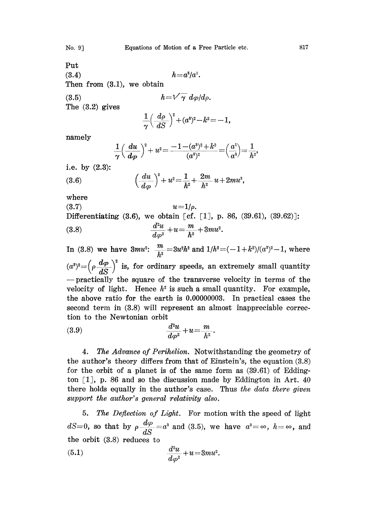$h = a^3/a^1$ .

Put (3.4) Then from (3.1), we obtain

$$
(3.5) \t h = \sqrt{\gamma} \ d\varphi / d\varphi
$$

The (3.2) gives

$$
\frac{1}{\gamma}\Big(\frac{d\rho}{dS}\Big)^{\!2}\!+\!(a^3)^2\!-\!k^2\!=\!-1,
$$

namely

$$
\frac{1}{\gamma}\left(\frac{du}{d\varphi}\right)^2+u^2=\frac{-1-(a^3)^2+k^2}{(a^3)^2}=\left(\frac{a^1}{a^3}\right)=\frac{1}{h^2},
$$

i.e. by (2.3):

(3.6) 
$$
\left(\frac{du}{d\varphi}\right)^2 + u^2 = \frac{1}{h^2} + \frac{2m}{h^2}u + 2mu^3,
$$
  
where  $u = 1/a$ 

where

(3.7)  
\n
$$
u=1/\rho
$$
.  
\nDifferentiating (3.6), we obtain [cf. [1], p. 86, (39.61), (39.62)];  
\n(3.8)  
\n
$$
\frac{d^2u}{d\varphi^2} + u = \frac{m}{h^2} + 3mu^2.
$$

In (3.8) we have  $3mu^2$ :  $\frac{m}{h^2} = 3u^2h^2$  and  $1/h^2 = (-1+k^2)/(a^3)^2 - 1$ , where  $\frac{d\omega p}{dS}$  is, for ordinary speeds, an extremely small quantity  $-$  practically the square of the transverse velocity in terms of the velocity of light. Hence  $h^2$  is such a small quantity. For example, the above ratio for the earth is 0.00000003. In practical cases the second term in (3.8) will represent an almost inappreciable correction to the Newtonian orbit

$$
(3.9) \qquad \qquad \frac{d^2u}{d\varphi^2} + u = \frac{m}{h^2}
$$

4. The Advance of Perihelion. Notwithstanding the geometry of the author's theory differs from that of Einstein's, the equation (3.8) for the orbit of a planet is of the same form as  $(39.61)$  of Eddington  $\lceil 1 \rceil$ , p. 86 and so the discussion made by Eddington in Art. 40 there holds equally in the author's case. Thus the data there given support the author's general relativity also.

5. The Deflection of Light. For motion with the speed of light dS=0, so that by  $\rho \frac{d\varphi}{dS} = a^3$  and (3.5), we have  $a^3 = \infty$ ,  $h = \infty$ , and<br>the orbit (3.8) reduces to<br>(5.1)  $\frac{d^2u}{dt^2} + u = 3mu^2$ the orbit (3.8) reduces to

$$
(5.1) \qquad \qquad \frac{d^2u}{d\varphi^2} + u = 3mu^2.
$$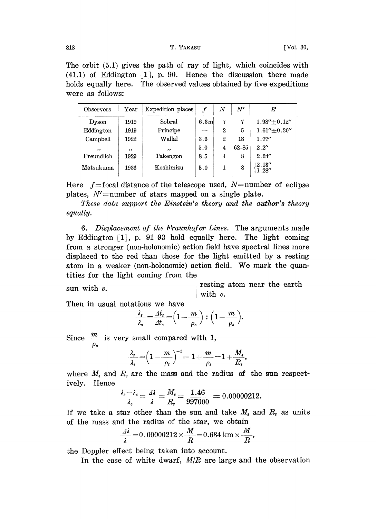The orbit (5.1) gives the path of ray of light, which coincides with  $(41.1)$  of Eddington [1], p. 90. Hence the discussion there made holds equally here. The observed values obtained by five expeditions were as follows:

| Observers  | $\operatorname{Year}$ | Expedition places | $\mathbf f$      | $_{N}$         | $N^\prime$ | E                 |
|------------|-----------------------|-------------------|------------------|----------------|------------|-------------------|
| Dyson      | 1919                  | Sobral            | 6.3 <sub>m</sub> | 7              | 7          | $1.98'' + 0.12''$ |
| Eddington  | 1919                  | Principe          |                  | 2              | 5          | $1.61'' + 0.30''$ |
| Campbell   | 1922                  | Wallal            | 3.6              | $\overline{2}$ | 18         | 1.77''            |
| , ,        | , ,                   | , ,               | 5.0              | 4              | $62 - 85$  | 2.2''             |
| Freundlich | 1929                  | Takengon          | 8.5              | 4              | 8          | 2.24''            |
| Matsukuma  | 1936                  | Koshimizu         | 5.0              | 1              | 8          | 2.13''<br>1.28''  |

Here  $f$ =focal distance of the telescope used, N=number of eclipse plates,  $N'$ =number of stars mapped on a single plate.

These data support the Einstein's theory and the author's theory equally.

6. Displacement of the Fraunhofer Lines. The arguments made by Eddington [1, p. 91-93 hold equally here. The light coming from a stronger (non-holonomic) action field have spectral lines more displaced to the red than those for the light emitted by a resting atom in <sup>a</sup> weaker (non-holonomic) action field. We mark the quantities for the light coming from the

resting atom near the earth sun with s. with e.

Then in usual notations we have

$$
\frac{\lambda_s}{\lambda_e} = \frac{At_s}{At_e} = \left(1 - \frac{m}{\rho_e}\right) : \left(1 - \frac{m}{\rho_s}\right).
$$

Since  $\frac{m}{\rho_e}$  is very small compared with 1,

$$
\frac{\lambda_s}{\lambda_e}\!=\!\!\left(1\!-\!\frac{m}{\rho_s}\right)^{\!-1}\!=\!1\!+\!\frac{m}{\rho_s}\!=\!1\!+\!\frac{M_s}{R_s},
$$

where  $M_s$  and  $R_s$  are the mass and the radius of the sun respectively. Hence

$$
\frac{\lambda_s - \lambda_e}{\lambda_e} = \frac{\Delta \lambda}{\lambda} = \frac{M_s}{R_s} = \frac{1.46}{997000} = 0.00000212.
$$

If we take a star other than the sun and take  $M_s$  and  $R_s$  as units of the mass and the radius of the star, we obtain

$$
\frac{\Delta\lambda}{\lambda} = 0.00000212 \times \frac{M}{R} = 0.634 \text{ km} \times \frac{M}{R},
$$

the Doppler effect being taken into account.

In the case of white dwarf,  $M/R$  are large and the observation